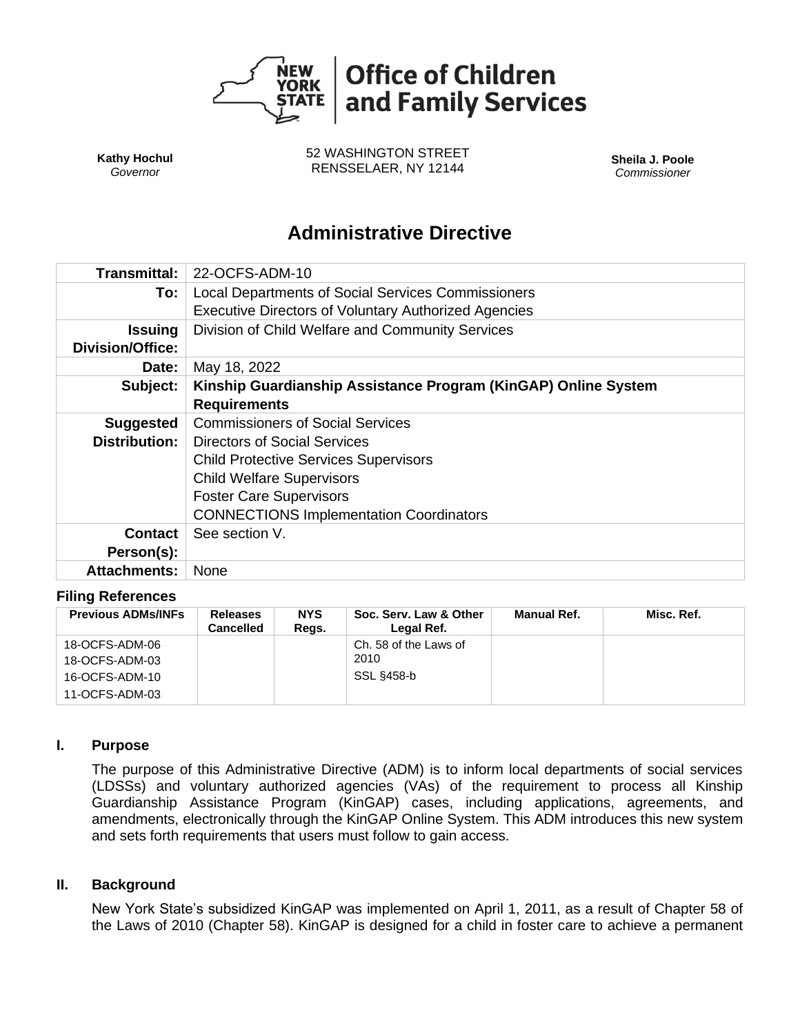

**Kathy Hochul** *Governor*

52 WASHINGTON STREET RENSSELAER, NY 12144 **Sheila J. Poole**

*Commissioner*

# **Administrative Directive**

| Transmittal:            | 22-OCFS-ADM-10                                                 |  |  |  |  |  |
|-------------------------|----------------------------------------------------------------|--|--|--|--|--|
| To:                     | <b>Local Departments of Social Services Commissioners</b>      |  |  |  |  |  |
|                         | <b>Executive Directors of Voluntary Authorized Agencies</b>    |  |  |  |  |  |
| Issuing                 | Division of Child Welfare and Community Services               |  |  |  |  |  |
| <b>Division/Office:</b> |                                                                |  |  |  |  |  |
| Date:                   | May 18, 2022                                                   |  |  |  |  |  |
| Subject:                | Kinship Guardianship Assistance Program (KinGAP) Online System |  |  |  |  |  |
|                         | <b>Requirements</b>                                            |  |  |  |  |  |
| <b>Suggested</b>        | <b>Commissioners of Social Services</b>                        |  |  |  |  |  |
| <b>Distribution:</b>    | Directors of Social Services                                   |  |  |  |  |  |
|                         | <b>Child Protective Services Supervisors</b>                   |  |  |  |  |  |
|                         | <b>Child Welfare Supervisors</b>                               |  |  |  |  |  |
|                         | <b>Foster Care Supervisors</b>                                 |  |  |  |  |  |
|                         | <b>CONNECTIONS Implementation Coordinators</b>                 |  |  |  |  |  |
| <b>Contact</b>          | See section V.                                                 |  |  |  |  |  |
| Person(s):              |                                                                |  |  |  |  |  |
| <b>Attachments:</b>     | None                                                           |  |  |  |  |  |

## **Filing References**

| <b>Previous ADMs/INFs</b>        | <b>Releases</b><br>Cancelled | <b>NYS</b><br>Regs. | Soc. Serv. Law & Other<br>Legal Ref. | <b>Manual Ref.</b> | Misc. Ref. |
|----------------------------------|------------------------------|---------------------|--------------------------------------|--------------------|------------|
| 18-OCFS-ADM-06<br>18-OCFS-ADM-03 |                              |                     | Ch. 58 of the Laws of<br>2010        |                    |            |
| 16-OCFS-ADM-10                   |                              |                     | SSL §458-b                           |                    |            |
| 11-OCFS-ADM-03                   |                              |                     |                                      |                    |            |

#### **I. Purpose**

The purpose of this Administrative Directive (ADM) is to inform local departments of social services (LDSSs) and voluntary authorized agencies (VAs) of the requirement to process all Kinship Guardianship Assistance Program (KinGAP) cases, including applications, agreements, and amendments, electronically through the KinGAP Online System. This ADM introduces this new system and sets forth requirements that users must follow to gain access.

#### **II. Background**

New York State's subsidized KinGAP was implemented on April 1, 2011, as a result of Chapter 58 of the Laws of 2010 (Chapter 58). KinGAP is designed for a child in foster care to achieve a permanent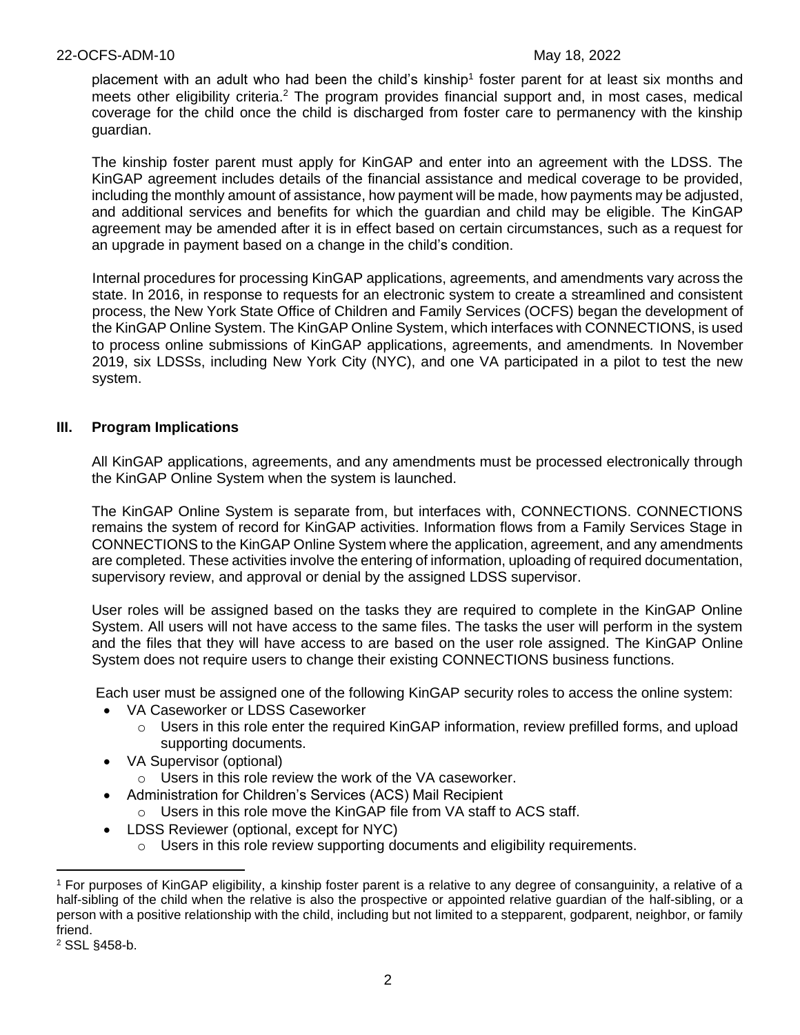placement with an adult who had been the child's kinship<sup>1</sup> foster parent for at least six months and meets other eligibility criteria.<sup>2</sup> The program provides financial support and, in most cases, medical coverage for the child once the child is discharged from foster care to permanency with the kinship guardian.

The kinship foster parent must apply for KinGAP and enter into an agreement with the LDSS. The KinGAP agreement includes details of the financial assistance and medical coverage to be provided, including the monthly amount of assistance, how payment will be made, how payments may be adjusted, and additional services and benefits for which the guardian and child may be eligible. The KinGAP agreement may be amended after it is in effect based on certain circumstances, such as a request for an upgrade in payment based on a change in the child's condition.

Internal procedures for processing KinGAP applications, agreements, and amendments vary across the state. In 2016, in response to requests for an electronic system to create a streamlined and consistent process, the New York State Office of Children and Family Services (OCFS) began the development of the KinGAP Online System. The KinGAP Online System, which interfaces with CONNECTIONS, is used to process online submissions of KinGAP applications, agreements, and amendments*.* In November 2019, six LDSSs, including New York City (NYC), and one VA participated in a pilot to test the new system.

## **III. Program Implications**

All KinGAP applications, agreements, and any amendments must be processed electronically through the KinGAP Online System when the system is launched.

The KinGAP Online System is separate from, but interfaces with, CONNECTIONS. CONNECTIONS remains the system of record for KinGAP activities. Information flows from a Family Services Stage in CONNECTIONS to the KinGAP Online System where the application, agreement, and any amendments are completed. These activities involve the entering of information, uploading of required documentation, supervisory review, and approval or denial by the assigned LDSS supervisor.

User roles will be assigned based on the tasks they are required to complete in the KinGAP Online System. All users will not have access to the same files. The tasks the user will perform in the system and the files that they will have access to are based on the user role assigned. The KinGAP Online System does not require users to change their existing CONNECTIONS business functions.

Each user must be assigned one of the following KinGAP security roles to access the online system:

- VA Caseworker or LDSS Caseworker
	- $\circ$  Users in this role enter the required KinGAP information, review prefilled forms, and upload supporting documents.
- VA Supervisor (optional)
	- $\circ$  Users in this role review the work of the VA caseworker.
- Administration for Children's Services (ACS) Mail Recipient
	- o Users in this role move the KinGAP file from VA staff to ACS staff.
- LDSS Reviewer (optional, except for NYC)
	- $\circ$  Users in this role review supporting documents and eligibility requirements.

<sup>&</sup>lt;sup>1</sup> For purposes of KinGAP eligibility, a kinship foster parent is a relative to any degree of consanguinity, a relative of a half-sibling of the child when the relative is also the prospective or appointed relative guardian of the half-sibling, or a person with a positive relationship with the child, including but not limited to a stepparent, godparent, neighbor, or family friend.

<sup>2</sup> SSL §458-b.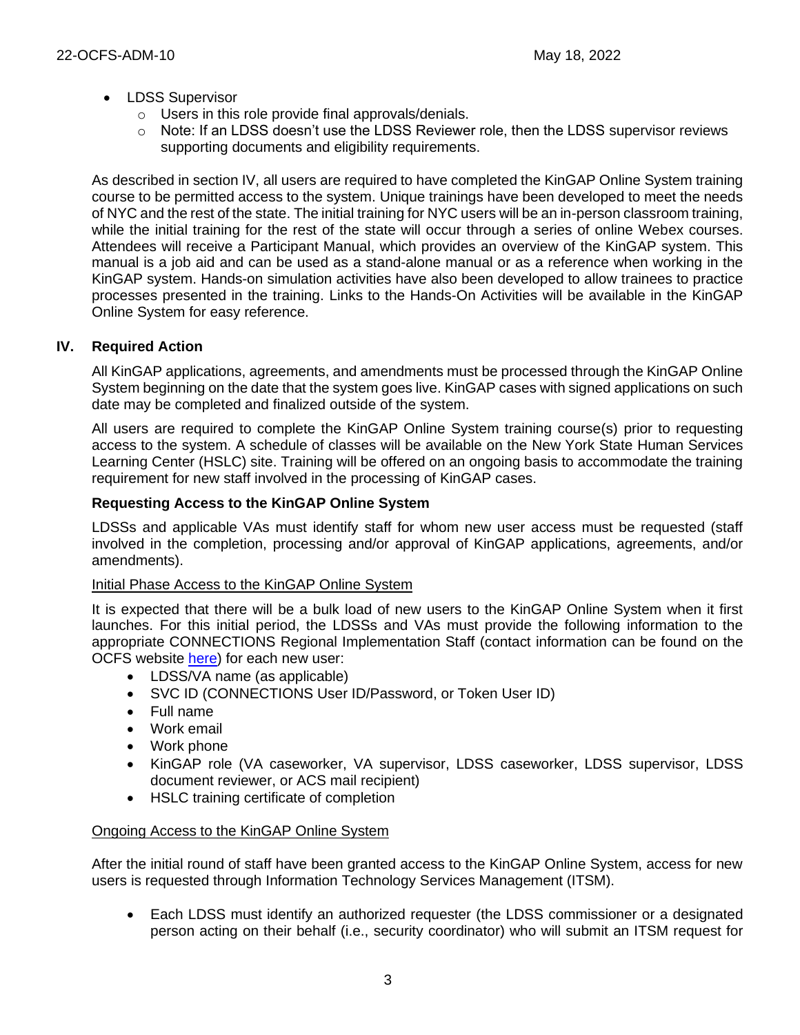- LDSS Supervisor
	- o Users in this role provide final approvals/denials.
	- $\circ$  Note: If an LDSS doesn't use the LDSS Reviewer role, then the LDSS supervisor reviews supporting documents and eligibility requirements.

As described in section IV, all users are required to have completed the KinGAP Online System training course to be permitted access to the system. Unique trainings have been developed to meet the needs of NYC and the rest of the state. The initial training for NYC users will be an in-person classroom training, while the initial training for the rest of the state will occur through a series of online Webex courses. Attendees will receive a Participant Manual, which provides an overview of the KinGAP system. This manual is a job aid and can be used as a stand-alone manual or as a reference when working in the KinGAP system. Hands-on simulation activities have also been developed to allow trainees to practice processes presented in the training. Links to the Hands-On Activities will be available in the KinGAP Online System for easy reference.

## **IV. Required Action**

All KinGAP applications, agreements, and amendments must be processed through the KinGAP Online System beginning on the date that the system goes live. KinGAP cases with signed applications on such date may be completed and finalized outside of the system.

All users are required to complete the KinGAP Online System training course(s) prior to requesting access to the system. A schedule of classes will be available on the New York State Human Services Learning Center (HSLC) site. Training will be offered on an ongoing basis to accommodate the training requirement for new staff involved in the processing of KinGAP cases.

## **Requesting Access to the KinGAP Online System**

LDSSs and applicable VAs must identify staff for whom new user access must be requested (staff involved in the completion, processing and/or approval of KinGAP applications, agreements, and/or amendments).

## Initial Phase Access to the KinGAP Online System

It is expected that there will be a bulk load of new users to the KinGAP Online System when it first launches. For this initial period, the LDSSs and VAs must provide the following information to the appropriate CONNECTIONS Regional Implementation Staff (contact information can be found on the OCFS website [here\)](https://view.officeapps.live.com/op/view.aspx?src=https%3A%2F%2Focfs.ny.gov%2Fconnect%2FContacts%2FCONNECTIONS-Implementation-Staff.docx&wdOrigin=BROWSELINK) for each new user:

- LDSS/VA name (as applicable)
- SVC ID (CONNECTIONS User ID/Password, or Token User ID)
- Full name
- Work email
- Work phone
- KinGAP role (VA caseworker, VA supervisor, LDSS caseworker, LDSS supervisor, LDSS document reviewer, or ACS mail recipient)
- HSLC training certificate of completion

## Ongoing Access to the KinGAP Online System

After the initial round of staff have been granted access to the KinGAP Online System, access for new users is requested through Information Technology Services Management (ITSM).

• Each LDSS must identify an authorized requester (the LDSS commissioner or a designated person acting on their behalf (i.e., security coordinator) who will submit an ITSM request for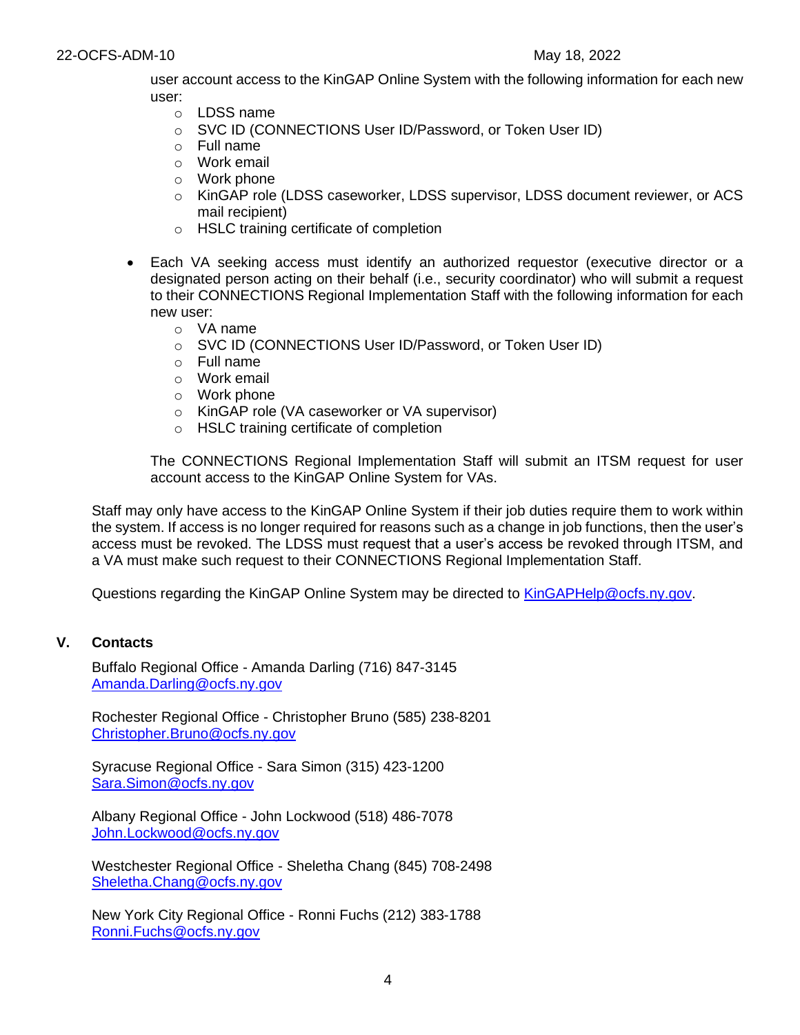user account access to the KinGAP Online System with the following information for each new user:

- o LDSS name
- o SVC ID (CONNECTIONS User ID/Password, or Token User ID)
- o Full name
- o Work email
- o Work phone
- o KinGAP role (LDSS caseworker, LDSS supervisor, LDSS document reviewer, or ACS mail recipient)
- o HSLC training certificate of completion
- Each VA seeking access must identify an authorized requestor (executive director or a designated person acting on their behalf (i.e., security coordinator) who will submit a request to their CONNECTIONS Regional Implementation Staff with the following information for each new user:
	- o VA name
	- o SVC ID (CONNECTIONS User ID/Password, or Token User ID)
	- o Full name
	- o Work email
	- o Work phone
	- o KinGAP role (VA caseworker or VA supervisor)
	- o HSLC training certificate of completion

The CONNECTIONS Regional Implementation Staff will submit an ITSM request for user account access to the KinGAP Online System for VAs.

Staff may only have access to the KinGAP Online System if their job duties require them to work within the system. If access is no longer required for reasons such as a change in job functions, then the user's access must be revoked. The LDSS must request that a user's access be revoked through ITSM, and a VA must make such request to their CONNECTIONS Regional Implementation Staff.

Questions regarding the KinGAP Online System may be directed to [KinGAPHelp@ocfs.ny.gov.](mailto:KinGAPHelp@ocfs.ny.gov)

#### **V. Contacts**

Buffalo Regional Office - Amanda Darling (716) 847-3145 [Amanda.Darling@ocfs.ny.gov](mailto:Amanda.Darling@ocfs.ny.gov)

Rochester Regional Office - Christopher Bruno (585) 238-8201 [Christopher.Bruno@ocfs.ny.gov](mailto:Christopher.Bruno@ocfs.ny.gov)

Syracuse Regional Office - Sara Simon (315) 423-1200 [Sara.Simon@ocfs.ny.gov](mailto:Sara.Simon@ocfs.ny.gov)

Albany Regional Office - John Lockwood (518) 486-7078 [John.Lockwood@ocfs.ny.gov](mailto:John.Lockwood@ocfs.ny.gov)

Westchester Regional Office - Sheletha Chang (845) 708-2498 [Sheletha.Chang@ocfs.ny.gov](mailto:Sheletha.Chang@ocfs.ny.gov)

New York City Regional Office - Ronni Fuchs (212) 383-1788 [Ronni.Fuchs@ocfs.ny.gov](mailto:Ronni.Fuchs@ocfs.ny.gov)